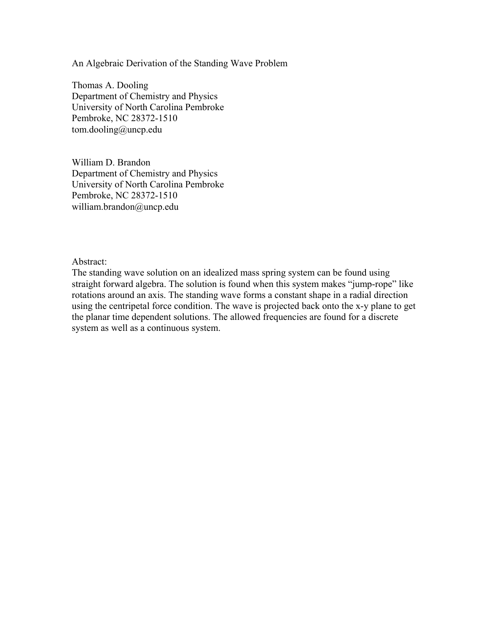An Algebraic Derivation of the Standing Wave Problem

Thomas A. Dooling Department of Chemistry and Physics University of North Carolina Pembroke Pembroke, NC 28372-1510 tom.dooling@uncp.edu

William D. Brandon Department of Chemistry and Physics University of North Carolina Pembroke Pembroke, NC 28372-1510 william.brandon@uncp.edu

Abstract:

The standing wave solution on an idealized mass spring system can be found using straight forward algebra. The solution is found when this system makes "jump-rope" like rotations around an axis. The standing wave forms a constant shape in a radial direction using the centripetal force condition. The wave is projected back onto the x-y plane to get the planar time dependent solutions. The allowed frequencies are found for a discrete system as well as a continuous system.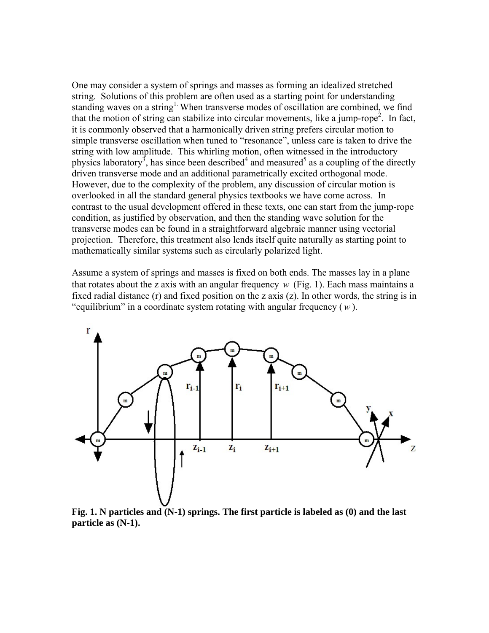One may consider a system of springs and masses as forming an idealized stretched string. Solutions of this problem are often used as a starting point for understanding standing waves on a string<sup>1.</sup> When transverse modes of oscillation are combined, we find that the motion of string can stabilize into circular movements, like a jump-rope<sup>2</sup>. In fact, it is commonly observed that a harmonically driven string prefers circular motion to simple transverse oscillation when tuned to "resonance", unless care is taken to drive the string with low amplitude. This whirling motion, often witnessed in the introductory physics laboratory<sup>3</sup>, has since been described<sup>4</sup> and measured<sup>5</sup> as a coupling of the directly driven transverse mode and an additional parametrically excited orthogonal mode. However, due to the complexity of the problem, any discussion of circular motion is overlooked in all the standard general physics textbooks we have come across. In contrast to the usual development offered in these texts, one can start from the jump-rope condition, as justified by observation, and then the standing wave solution for the transverse modes can be found in a straightforward algebraic manner using vectorial projection. Therefore, this treatment also lends itself quite naturally as starting point to mathematically similar systems such as circularly polarized light.

Assume a system of springs and masses is fixed on both ends. The masses lay in a plane that rotates about the z axis with an angular frequency  $w$  (Fig. 1). Each mass maintains a fixed radial distance (r) and fixed position on the z axis (z). In other words, the string is in "equilibrium" in a coordinate system rotating with angular frequency (*w* ).



**Fig. 1. N particles and (N-1) springs. The first particle is labeled as (0) and the last particle as (N-1).**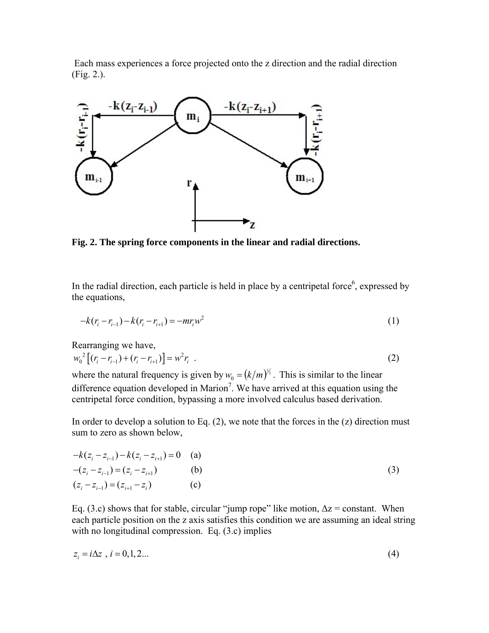Each mass experiences a force projected onto the z direction and the radial direction (Fig. 2.).



**Fig. 2. The spring force components in the linear and radial directions.** 

In the radial direction, each particle is held in place by a centripetal force, expressed by the equations,

$$
-k(r_i - r_{i-1}) - k(r_i - r_{i+1}) = -mr_iw^2
$$
\n(1)

Rearranging we have,

$$
w_0^2 \left[ (r_i - r_{i-1}) + (r_i - r_{i+1}) \right] = w^2 r_i \quad . \tag{2}
$$

where the natural frequency is given by  $w_0 = (k/m)^{1/2}$ . This is similar to the linear difference equation developed in Marion<sup>7</sup>. We have arrived at this equation using the centripetal force condition, bypassing a more involved calculus based derivation.

In order to develop a solution to Eq.  $(2)$ , we note that the forces in the  $(z)$  direction must sum to zero as shown below,

$$
-k(z_i - z_{i-1}) - k(z_i - z_{i+1}) = 0
$$
 (a)  
\n
$$
-(z_i - z_{i-1}) = (z_i - z_{i+1})
$$
 (b)  
\n
$$
(z_i - z_{i-1}) = (z_{i+1} - z_i)
$$
 (c)

Eq. (3.c) shows that for stable, circular "jump rope" like motion,  $\Delta z = constant$ . When each particle position on the z axis satisfies this condition we are assuming an ideal string with no longitudinal compression. Eq. (3.c) implies

$$
z_i = i\Delta z \, , \, i = 0, 1, 2 \dots \tag{4}
$$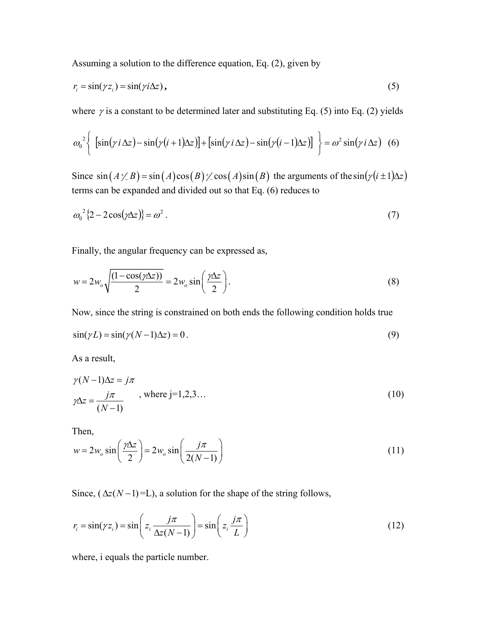Assuming a solution to the difference equation, Eq. (2), given by

$$
r_i = \sin(\gamma z_i) = \sin(\gamma i \Delta z), \tag{5}
$$

where  $\gamma$  is a constant to be determined later and substituting Eq. (5) into Eq. (2) yields

$$
\omega_0^2 \left\{ \left[ \sin(\gamma i \Delta z) - \sin(\gamma (i+1) \Delta z) \right] + \left[ \sin(\gamma i \Delta z) - \sin(\gamma (i-1) \Delta z) \right] \right\} = \omega^2 \sin(\gamma i \Delta z) \quad (6)
$$

Since  $\sin (A \neq B) = \sin (A) \cos (B) \neq \cos (A) \sin (B)$  the arguments of the  $\sin(\gamma (i \pm 1) \Delta z)$ terms can be expanded and divided out so that Eq. (6) reduces to

$$
\omega_0^2 \left\{ 2 - 2\cos(\gamma \Delta z) \right\} = \omega^2 \,. \tag{7}
$$

Finally, the angular frequency can be expressed as,

$$
w = 2w_o \sqrt{\frac{(1 - \cos(\gamma \Delta z))}{2}} = 2w_o \sin\left(\frac{\gamma \Delta z}{2}\right).
$$
 (8)

Now, since the string is constrained on both ends the following condition holds true

$$
\sin(\gamma L) = \sin(\gamma (N-1)\Delta z) = 0.
$$
\n(9)

As a result,

$$
\gamma(N-1)\Delta z = j\pi
$$
  

$$
\gamma\Delta z = \frac{j\pi}{(N-1)}
$$
, where j=1,2,3... (10)

Then,

$$
w = 2w_o \sin\left(\frac{\gamma \Delta z}{2}\right) = 2w_o \sin\left(\frac{j\pi}{2(N-1)}\right)
$$
 (11)

Since,  $(\Delta z(N-1)=L)$ , a solution for the shape of the string follows,

$$
r_i = \sin(\gamma z_i) = \sin\left(z_i \frac{j\pi}{\Delta z(N-1)}\right) = \sin\left(z_i \frac{j\pi}{L}\right)
$$
 (12)

where, i equals the particle number.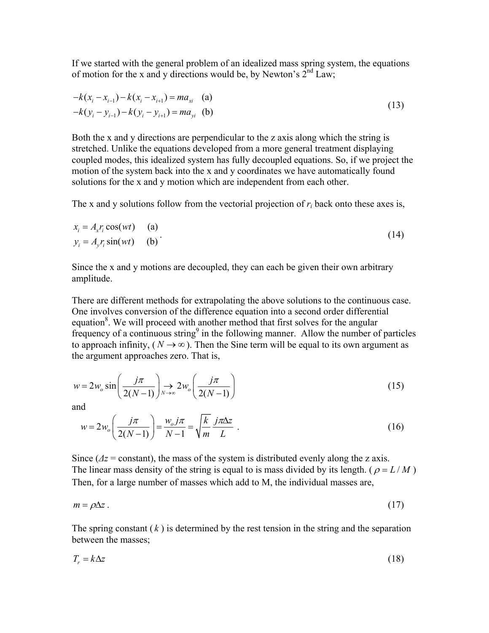If we started with the general problem of an idealized mass spring system, the equations of motion for the x and y directions would be, by Newton's  $2<sup>nd</sup> Law$ ;

$$
-k(x_i - x_{i-1}) - k(x_i - x_{i+1}) = ma_{xi}
$$
 (a)  

$$
-k(y_i - y_{i-1}) - k(y_i - y_{i+1}) = ma_{yi}
$$
 (b) (13)

Both the x and y directions are perpendicular to the z axis along which the string is stretched. Unlike the equations developed from a more general treatment displaying coupled modes, this idealized system has fully decoupled equations. So, if we project the motion of the system back into the x and y coordinates we have automatically found solutions for the x and y motion which are independent from each other.

The x and y solutions follow from the vectorial projection of *ri* back onto these axes is,

$$
x_i = A_x r_i \cos(wt) \qquad \text{(a)}
$$
  
\n
$$
y_i = A_y r_i \sin(wt) \qquad \text{(b)}
$$
 (14)

Since the x and y motions are decoupled, they can each be given their own arbitrary amplitude.

There are different methods for extrapolating the above solutions to the continuous case. One involves conversion of the difference equation into a second order differential equation<sup>8</sup>. We will proceed with another method that first solves for the angular frequency of a continuous string<sup>9</sup> in the following manner. Allow the number of particles to approach infinity,  $(N \rightarrow \infty)$ . Then the Sine term will be equal to its own argument as the argument approaches zero. That is,

$$
w = 2w_o \sin\left(\frac{j\pi}{2(N-1)}\right) \to 2w_o\left(\frac{j\pi}{2(N-1)}\right)
$$
 (15)

and

$$
w = 2w_o \left(\frac{j\pi}{2(N-1)}\right) = \frac{w_o j\pi}{N-1} = \sqrt{\frac{k}{m}} \frac{j\pi\Delta z}{L} \tag{16}
$$

Since ( $\Delta z$  = constant), the mass of the system is distributed evenly along the z axis. The linear mass density of the string is equal to is mass divided by its length. ( $\rho = L/M$ ) Then, for a large number of masses which add to M, the individual masses are,

$$
m = \rho \Delta z \tag{17}
$$

The spring constant  $(k)$  is determined by the rest tension in the string and the separation between the masses;

$$
T_r = k\Delta z \tag{18}
$$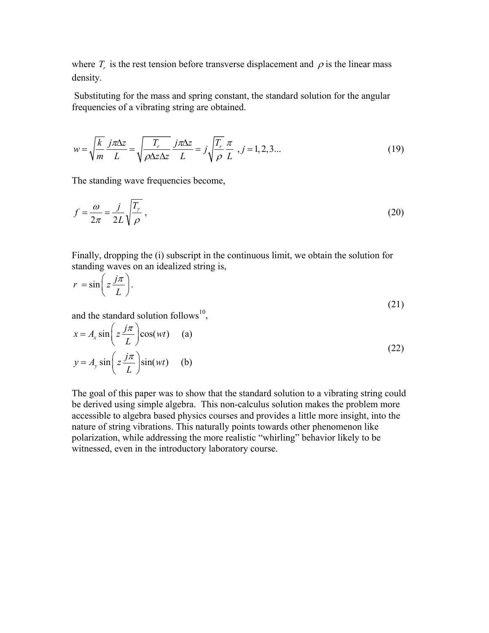where  $T<sub>r</sub>$  is the rest tension before transverse displacement and  $\rho$  is the linear mass density.

 Substituting for the mass and spring constant, the standard solution for the angular frequencies of a vibrating string are obtained.

$$
w = \sqrt{\frac{k}{m}} \frac{j\pi\Delta z}{L} = \sqrt{\frac{T_r}{\rho \Delta z \Delta z}} \frac{j\pi\Delta z}{L} = j\sqrt{\frac{T_r}{\rho}} \frac{\pi}{L}, j = 1, 2, 3... \tag{19}
$$

The standing wave frequencies become,

$$
f = \frac{\omega}{2\pi} = \frac{j}{2L} \sqrt{\frac{T_{\gamma}}{\rho}},
$$
\n(20)

Finally, dropping the (i) subscript in the continuous limit, we obtain the solution for standing waves on an idealized string is,

$$
r = \sin\left(z\frac{j\pi}{L}\right). \tag{21}
$$

and the standard solution follows<sup>10</sup>,

$$
x = A_x \sin\left(z \frac{j\pi}{L}\right) \cos(wt) \quad \text{(a)}
$$
  

$$
y = A_y \sin\left(z \frac{j\pi}{L}\right) \sin(wt) \quad \text{(b)}
$$
 (22)

The goal of this paper was to show that the standard solution to a vibrating string could be derived using simple algebra. This non-calculus solution makes the problem more accessible to algebra based physics courses and provides a little more insight, into the nature of string vibrations. This naturally points towards other phenomenon like polarization, while addressing the more realistic "whirling" behavior likely to be witnessed, even in the introductory laboratory course.